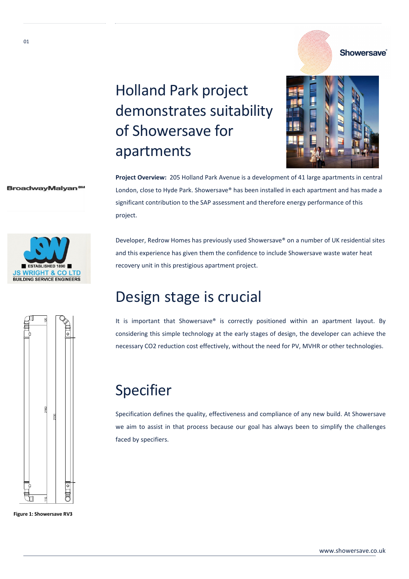### **Showersave**®

# Holland Park project demonstrates suitability of Showersave for apartments



#### BroadwayMalyan



Developer, Redrow Homes has previously used Showersave® on a number of UK residential sites and this experience has given them the confidence to include Showersave waste water heat recovery unit in this prestigious apartment project.

Project Overview: 205 Holland Park Avenue is a development of 41 large apartments in central London, close to Hyde Park. Showersave® has been installed in each apartment and has made a

significant contribution to the SAP assessment and therefore energy performance of this

### Design stage is crucial

It is important that Showersave® is correctly positioned within an apartment layout. By considering this simple technology at the early stages of design, the developer can achieve the necessary CO2 reduction cost effectively, without the need for PV, MVHR or other technologies.

### Specifier

project.

Specification defines the quality, effectiveness and compliance of any new build. At Showersave we aim to assist in that process because our goal has always been to simplify the challenges faced by specifiers.





 $01$